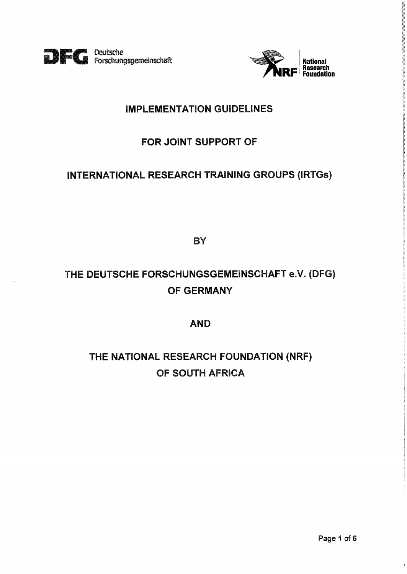



## **IMPLEMENTATION GUIDELINES**

# **FOR JOINT SUPPORT OF**

# **INTERNATIONAL RESEARCH TRAINING GROUPS (IRTGs)**

**BY** 

# THE DEUTSCHE FORSCHUNGSGEMEINSCHAFT e.V. (DFG) **OF GERMANY**

## **AND**

# **THE NATIONAL RESEARCH FOUNDATION (NRF) OF SOUTH AFRICA**

 $\overline{1}$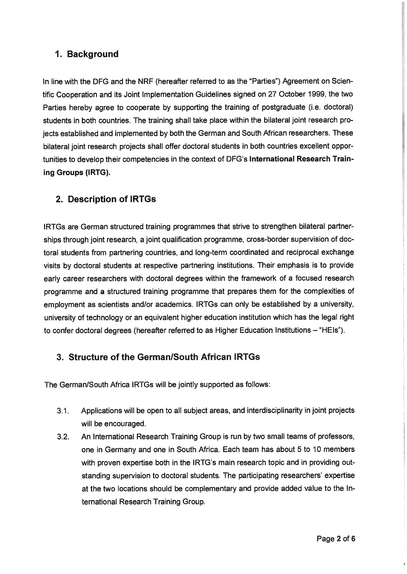### **1. Background**

In line with the DFG and the NRF (hereafter referred to as the "Parties") Agreement on Scientific Cooperation and its Joint Implementation Guidelines signed on 27 October 1999, the two Parties hereby agree to cooperate by supporting the training of postgraduate (i.e. doctoral) students in both countries. The training shall take place within the bilateral joint research projects established and implemented by both the German and South African researchers. These bilateral joint research projects shall offer doctoral students in both countries excellent opportunities to develop their competencies in the context of **DFG's International Research Training Groups (IRTG).** 

#### **2. Description of IRTGs**

IRTGs are German structured training programmes that strive to strengthen bilateral partnerships through joint research, a joint qualification programme, cross-border supervision of doctoral students from partnering countries, and long-term coordinated and reciprocal exchange visits by doctoral students at respective partnering institutions. Their emphasis is to provide early career researchers with doctoral degrees within the framework of a focused research programme and a structured training programme that prepares them for the complexities of employment as scientists and/or academics. IRTGs can only be established by a university, university of technology or an equivalent higher education institution which has the legal right to confer doctoral degrees (hereafter referred to as Higher Education Institutions — "HEls").

#### **3. Structure of the German/South African IRTGs**

The German/South Africa IRTGs will be jointly supported as follows:

- 3.1. Applications will be open to all subject areas, and interdisciplinarity in joint projects will be encouraged.
- 3.2. An International Research Training Group is run by two small teams of professors, one in Germany and one in South Africa. Each team has about 5 to 10 members with proven expertise both in the IRTG's main research topic and in providing outstanding supervision to doctoral students. The participating researchers' expertise at the two locations should be complementary and provide added value to the International Research Training Group.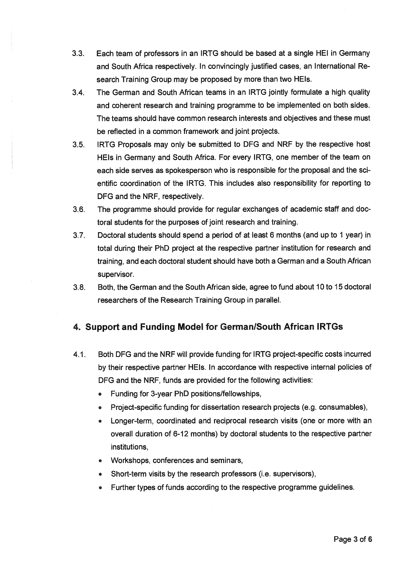- 3.3. Each team of professors in an IRTG should be based at a single **HEI** in Germany and South Africa respectively. In convincingly justified cases, an International Research Training Group may be proposed by more than two HEIs.
- 3.4. The German and South African teams in an IRTG jointly formulate a high quality and coherent research and training programme to be implemented on both sides. The teams should have common research interests and objectives and these must be reflected in a common framework and joint projects.
- 3.5. IRTG Proposals may only be submitted to DFG and NRF by the respective host HEIs in Germany and South Africa. For every IRTG, one member of the team on each side serves as spokesperson who is responsible for the proposal and the scientific coordination of the IRTG. This includes also responsibility for reporting to DFG and the NRF, respectively.
- 3.6. The programme should provide for regular exchanges of academic staff and doctoral students for the purposes of joint research and training.
- 3.7. Doctoral students should spend a period of at least 6 months (and up to 1 year) in total during their PhD project at the respective partner institution for research and training, and each doctoral student should have both a German and a South African supervisor.
- 3.8. Both, the German and the South African side, agree to fund about **10** to 15 doctoral researchers of the Research Training Group in parallel.

## **4. Support and Funding Model for German/South African IRTGs**

- 4.1. Both DFG and the NRF will provide funding for IRTG project-specific costs incurred by their respective partner HEIs. In accordance with respective internal policies of DFG and the NRF, funds are provided for the following activities:
	- Funding for 3-year PhD positions/fellowships,
	- Project-specific funding for dissertation research projects (e.g. consumables),
	- Longer-term, coordinated and reciprocal research visits (one or more with an overall duration of 6-12 months) by doctoral students to the respective partner institutions,
	- Workshops, conferences and seminars,
	- Short-term visits by the research professors (i.e. supervisors),
	- Further types of funds according to the respective programme guidelines.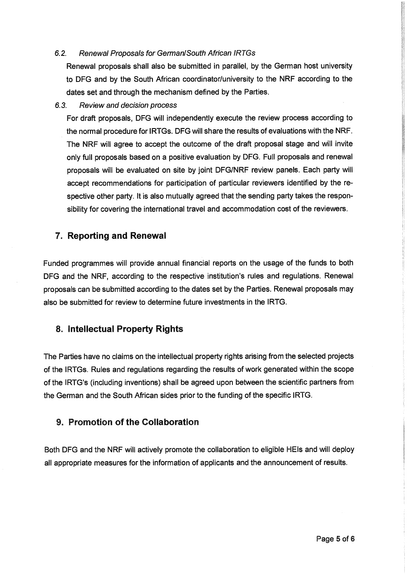#### 6.2. Renewal Proposals for GermanlSouth African IRTGs

Renewal proposals shall also be submitted in parallel, by the German host university to DFG and by the South African coordinator/university to the NRF according to the dates set and through the mechanism defined by the Parties.

6.3. Review and decision process

For draft proposals, DFG will independently execute the review process according to the normal procedure for IRTGs. DFG will share the results of evaluations with the NRF. The NRF will agree to accept the outcome of the draft proposal stage and will invite only full proposals based on a positive evaluation by DFG. Full proposals and renewal proposals will be evaluated on site by joint DFG/NRF review panels. Each party will accept recommendations for participation of particular reviewers identified by the respective other party. It is also mutually agreed that the sending party takes the responsibility for covering the international travel and accommodation cost of the reviewers.

#### **7. Reporting and Renewal**

Funded programmes will provide annual financial reports on the usage of the funds to both DFG and the NRF, according to the respective institution's rules and regulations. Renewal proposals can be submitted according to the dates set by the Parties. Renewal proposals may also be submitted for review to determine future investments in the IRTG.

#### **8. Intellectual Property Rights**

The Parties have no claims on the intellectual property rights arising from the selected projects of the IRTGs. Rules and regulations regarding the results of work generated within the scope of the IRTG's (including inventions) shall be agreed upon between the scientific partners from the German and the South African sides prior to the funding of the specific IRTG.

#### **9. Promotion of the Collaboration**

Both DFG and the NRF will actively promote the collaboration to eligible HEIs and will deploy all appropriate measures for the information of applicants and the announcement of results.

55555555555555555555555